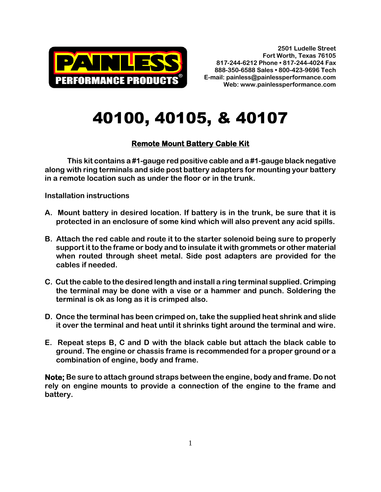

## 40100, 40105, & 40107

## **Remote Mount Battery Cable Kit**

**This kit contains a #1-gauge red positive cable and a #1-gauge black negative along with ring terminals and side post battery adapters for mounting your battery in a remote location such as under the floor or in the trunk.**

**Installation instructions**

- **A. Mount battery in desired location. If battery is in the trunk, be sure that it is protected in an enclosure of some kind which will also prevent any acid spills.**
- **B. Attach the red cable and route it to the starter solenoid being sure to properly support it to the frame or body and to insulate it with grommets or other material when routed through sheet metal. Side post adapters are provided for the cables if needed.**
- **C. Cut the cable to the desired length and install a ring terminal supplied. Crimping the terminal may be done with a vise or a hammer and punch. Soldering the terminal is ok as long as it is crimped also.**
- **D. Once the terminal has been crimped on, take the supplied heat shrink and slide it over the terminal and heat until it shrinks tight around the terminal and wire.**
- **E. Repeat steps B, C and D with the black cable but attach the black cable to ground. The engine or chassis frame is recommended for a proper ground or a combination of engine, body and frame.**

**Note; Be sure to attach ground straps between the engine, body and frame. Do not rely on engine mounts to provide a connection of the engine to the frame and battery.**